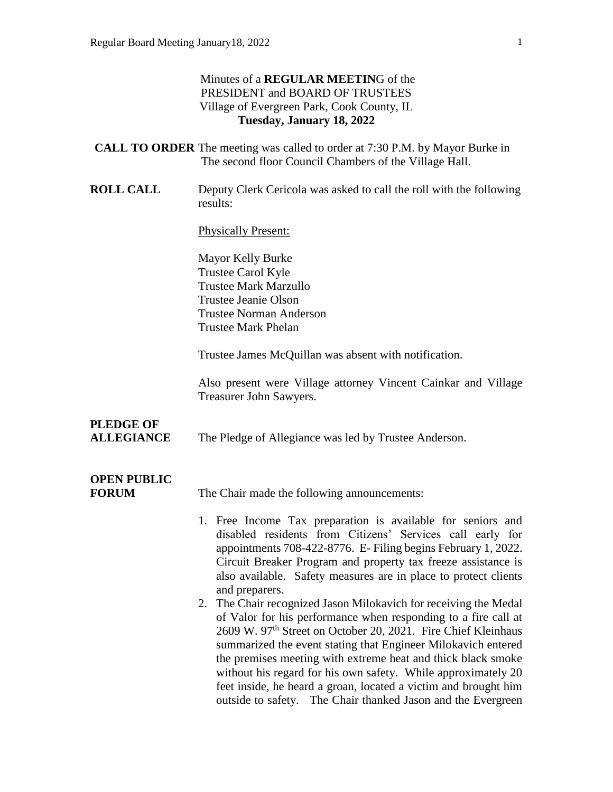#### Minutes of a **REGULAR MEETIN**G of the PRESIDENT and BOARD OF TRUSTEES Village of Evergreen Park, Cook County, IL **Tuesday, January 18, 2022**

|                  | <b>CALL TO ORDER</b> The meeting was called to order at 7:30 P.M. by Mayor Burke in<br>The second floor Council Chambers of the Village Hall. |
|------------------|-----------------------------------------------------------------------------------------------------------------------------------------------|
| <b>ROLL CALL</b> | Deputy Clerk Cericola was asked to call the roll with the following<br>results:                                                               |

Physically Present:

Mayor Kelly Burke Trustee Carol Kyle Trustee Mark Marzullo Trustee Jeanie Olson Trustee Norman Anderson Trustee Mark Phelan

Trustee James McQuillan was absent with notification.

Also present were Village attorney Vincent Cainkar and Village Treasurer John Sawyers.

## **PLEDGE OF**

**ALLEGIANCE** The Pledge of Allegiance was led by Trustee Anderson.

# **OPEN PUBLIC**

**FORUM** The Chair made the following announcements:

- 1. Free Income Tax preparation is available for seniors and disabled residents from Citizens' Services call early for appointments 708-422-8776. E- Filing begins February 1, 2022. Circuit Breaker Program and property tax freeze assistance is also available. Safety measures are in place to protect clients and preparers.
- 2. The Chair recognized Jason Milokavich for receiving the Medal of Valor for his performance when responding to a fire call at 2609 W. 97<sup>th</sup> Street on October 20, 2021. Fire Chief Kleinhaus summarized the event stating that Engineer Milokavich entered the premises meeting with extreme heat and thick black smoke without his regard for his own safety. While approximately 20 feet inside, he heard a groan, located a victim and brought him outside to safety. The Chair thanked Jason and the Evergreen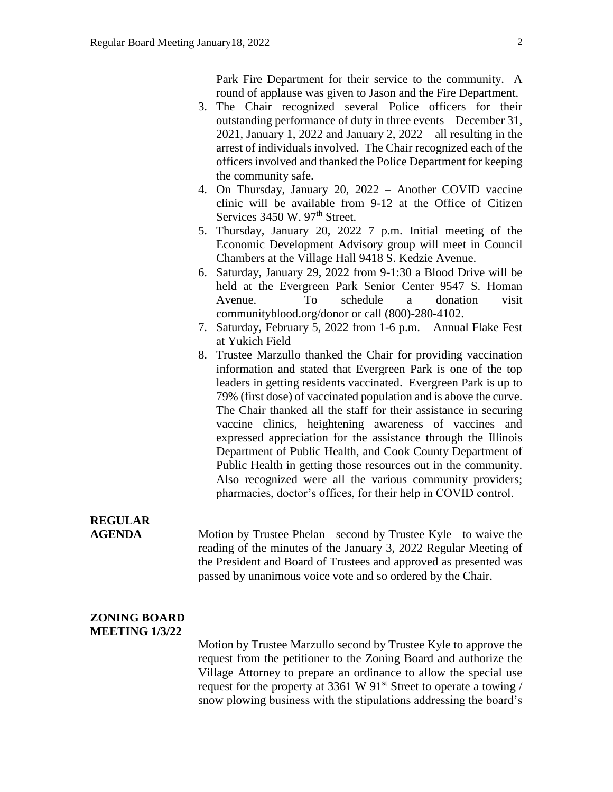Park Fire Department for their service to the community. A round of applause was given to Jason and the Fire Department.

- 3. The Chair recognized several Police officers for their outstanding performance of duty in three events – December 31, 2021, January 1, 2022 and January 2, 2022 – all resulting in the arrest of individuals involved. The Chair recognized each of the officers involved and thanked the Police Department for keeping the community safe.
- 4. On Thursday, January 20, 2022 Another COVID vaccine clinic will be available from 9-12 at the Office of Citizen Services 3450 W. 97<sup>th</sup> Street.
- 5. Thursday, January 20, 2022 7 p.m. Initial meeting of the Economic Development Advisory group will meet in Council Chambers at the Village Hall 9418 S. Kedzie Avenue.
- 6. Saturday, January 29, 2022 from 9-1:30 a Blood Drive will be held at the Evergreen Park Senior Center 9547 S. Homan Avenue. To schedule a donation visit communityblood.org/donor or call (800)-280-4102.
- 7. Saturday, February 5, 2022 from 1-6 p.m. Annual Flake Fest at Yukich Field
- 8. Trustee Marzullo thanked the Chair for providing vaccination information and stated that Evergreen Park is one of the top leaders in getting residents vaccinated. Evergreen Park is up to 79% (first dose) of vaccinated population and is above the curve. The Chair thanked all the staff for their assistance in securing vaccine clinics, heightening awareness of vaccines and expressed appreciation for the assistance through the Illinois Department of Public Health, and Cook County Department of Public Health in getting those resources out in the community. Also recognized were all the various community providers; pharmacies, doctor's offices, for their help in COVID control.

## **REGULAR**

**AGENDA** Motion by Trustee Phelan second by Trustee Kyle to waive the reading of the minutes of the January 3, 2022 Regular Meeting of the President and Board of Trustees and approved as presented was passed by unanimous voice vote and so ordered by the Chair.

#### **ZONING BOARD MEETING 1/3/22**

Motion by Trustee Marzullo second by Trustee Kyle to approve the request from the petitioner to the Zoning Board and authorize the Village Attorney to prepare an ordinance to allow the special use request for the property at 3361 W 91<sup>st</sup> Street to operate a towing / snow plowing business with the stipulations addressing the board's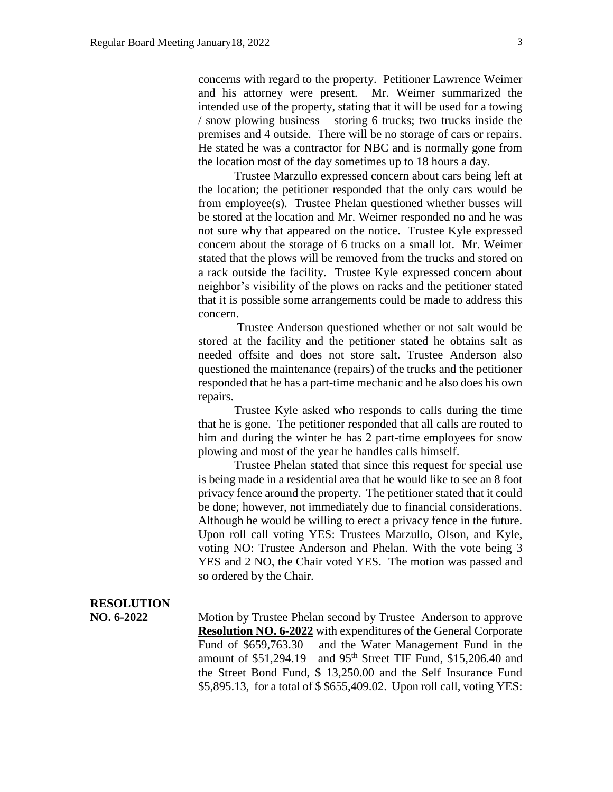concerns with regard to the property. Petitioner Lawrence Weimer and his attorney were present. Mr. Weimer summarized the intended use of the property, stating that it will be used for a towing / snow plowing business – storing 6 trucks; two trucks inside the premises and 4 outside. There will be no storage of cars or repairs. He stated he was a contractor for NBC and is normally gone from the location most of the day sometimes up to 18 hours a day.

Trustee Marzullo expressed concern about cars being left at the location; the petitioner responded that the only cars would be from employee(s). Trustee Phelan questioned whether busses will be stored at the location and Mr. Weimer responded no and he was not sure why that appeared on the notice. Trustee Kyle expressed concern about the storage of 6 trucks on a small lot. Mr. Weimer stated that the plows will be removed from the trucks and stored on a rack outside the facility. Trustee Kyle expressed concern about neighbor's visibility of the plows on racks and the petitioner stated that it is possible some arrangements could be made to address this concern.

Trustee Anderson questioned whether or not salt would be stored at the facility and the petitioner stated he obtains salt as needed offsite and does not store salt. Trustee Anderson also questioned the maintenance (repairs) of the trucks and the petitioner responded that he has a part-time mechanic and he also does his own repairs.

Trustee Kyle asked who responds to calls during the time that he is gone. The petitioner responded that all calls are routed to him and during the winter he has 2 part-time employees for snow plowing and most of the year he handles calls himself.

Trustee Phelan stated that since this request for special use is being made in a residential area that he would like to see an 8 foot privacy fence around the property. The petitioner stated that it could be done; however, not immediately due to financial considerations. Although he would be willing to erect a privacy fence in the future. Upon roll call voting YES: Trustees Marzullo, Olson, and Kyle, voting NO: Trustee Anderson and Phelan. With the vote being 3 YES and 2 NO, the Chair voted YES. The motion was passed and so ordered by the Chair.

#### **RESOLUTION**

**NO. 6-2022** Motion by Trustee Phelan second by Trustee Anderson to approve **Resolution NO. 6-2022** with expenditures of the General Corporate Fund of \$659,763.30 and the Water Management Fund in the amount of \$51,294.19 and 95<sup>th</sup> Street TIF Fund, \$15,206.40 and the Street Bond Fund, \$ 13,250.00 and the Self Insurance Fund \$5,895.13, for a total of \$ \$655,409.02. Upon roll call, voting YES: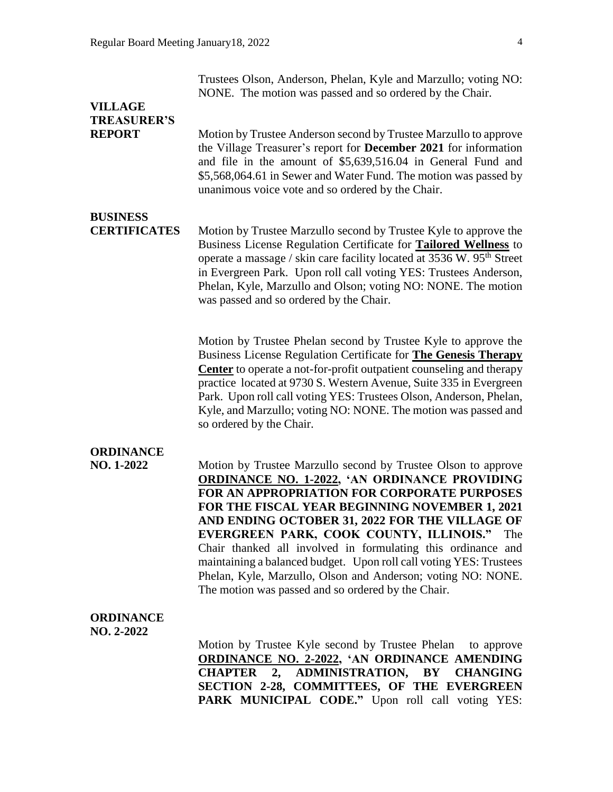|                    | NONE. The motion was passed and so ordered by the Chair.                |
|--------------------|-------------------------------------------------------------------------|
| <b>VILLAGE</b>     |                                                                         |
| <b>TREASURER'S</b> |                                                                         |
| <b>REPORT</b>      | Motion by Trustee Anderson second by Trustee Marzullo to approve        |
|                    | the Village Treasurer's report for <b>December 2021</b> for information |
|                    | and file in the amount of \$5,639,516.04 in General Fund and            |

unanimous voice vote and so ordered by the Chair.

Trustees Olson, Anderson, Phelan, Kyle and Marzullo; voting NO:

\$5,568,064.61 in Sewer and Water Fund. The motion was passed by

**BUSINESS** 

**CERTIFICATES** Motion by Trustee Marzullo second by Trustee Kyle to approve the Business License Regulation Certificate for **Tailored Wellness** to operate a massage / skin care facility located at  $3536$  W.  $95<sup>th</sup>$  Street in Evergreen Park. Upon roll call voting YES: Trustees Anderson, Phelan, Kyle, Marzullo and Olson; voting NO: NONE. The motion was passed and so ordered by the Chair.

> Motion by Trustee Phelan second by Trustee Kyle to approve the Business License Regulation Certificate for **The Genesis Therapy Center** to operate a not-for-profit outpatient counseling and therapy practice located at 9730 S. Western Avenue, Suite 335 in Evergreen Park. Upon roll call voting YES: Trustees Olson, Anderson, Phelan, Kyle, and Marzullo; voting NO: NONE. The motion was passed and so ordered by the Chair.

### **ORDINANCE**

**NO. 1-2022** Motion by Trustee Marzullo second by Trustee Olson to approve **ORDINANCE NO. 1-2022, 'AN ORDINANCE PROVIDING FOR AN APPROPRIATION FOR CORPORATE PURPOSES FOR THE FISCAL YEAR BEGINNING NOVEMBER 1, 2021 AND ENDING OCTOBER 31, 2022 FOR THE VILLAGE OF EVERGREEN PARK, COOK COUNTY, ILLINOIS."** The Chair thanked all involved in formulating this ordinance and maintaining a balanced budget. Upon roll call voting YES: Trustees Phelan, Kyle, Marzullo, Olson and Anderson; voting NO: NONE. The motion was passed and so ordered by the Chair.

#### **ORDINANCE NO. 2-2022**

Motion by Trustee Kyle second by Trustee Phelan to approve **ORDINANCE NO. 2-2022, 'AN ORDINANCE AMENDING CHAPTER 2, ADMINISTRATION, BY CHANGING SECTION 2-28, COMMITTEES, OF THE EVERGREEN**  PARK MUNICIPAL CODE." Upon roll call voting YES: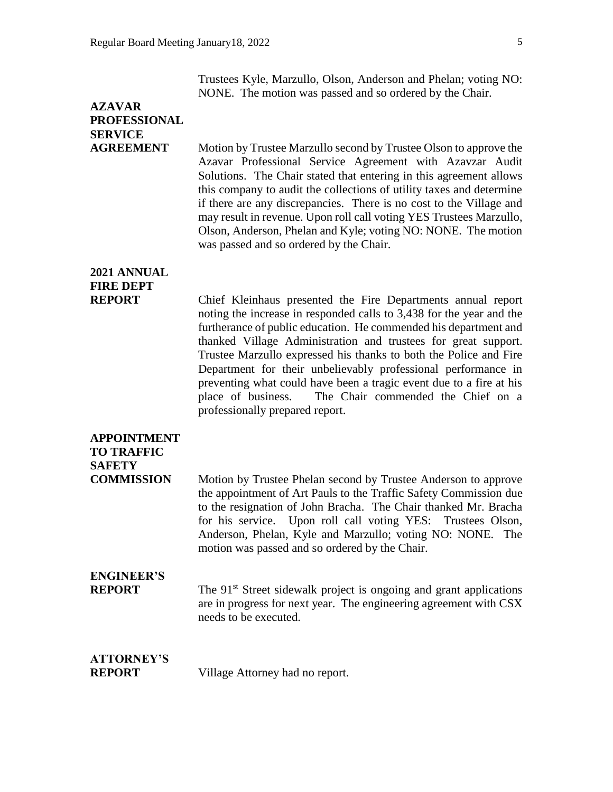Trustees Kyle, Marzullo, Olson, Anderson and Phelan; voting NO: NONE. The motion was passed and so ordered by the Chair.

# **AZAVAR PROFESSIONAL SERVICE**

**AGREEMENT** Motion by Trustee Marzullo second by Trustee Olson to approve the Azavar Professional Service Agreement with Azavzar Audit Solutions. The Chair stated that entering in this agreement allows this company to audit the collections of utility taxes and determine if there are any discrepancies. There is no cost to the Village and may result in revenue. Upon roll call voting YES Trustees Marzullo, Olson, Anderson, Phelan and Kyle; voting NO: NONE. The motion was passed and so ordered by the Chair.

## **2021 ANNUAL FIRE DEPT**

**REPORT** Chief Kleinhaus presented the Fire Departments annual report noting the increase in responded calls to 3,438 for the year and the furtherance of public education. He commended his department and thanked Village Administration and trustees for great support. Trustee Marzullo expressed his thanks to both the Police and Fire Department for their unbelievably professional performance in preventing what could have been a tragic event due to a fire at his place of business. The Chair commended the Chief on a professionally prepared report.

### **APPOINTMENT**

### **TO TRAFFIC SAFETY**

**COMMISSION** Motion by Trustee Phelan second by Trustee Anderson to approve the appointment of Art Pauls to the Traffic Safety Commission due to the resignation of John Bracha. The Chair thanked Mr. Bracha for his service. Upon roll call voting YES: Trustees Olson, Anderson, Phelan, Kyle and Marzullo; voting NO: NONE. The motion was passed and so ordered by the Chair.

# **ENGINEER'S**

**REPORT** The 91<sup>st</sup> Street sidewalk project is ongoing and grant applications are in progress for next year. The engineering agreement with CSX needs to be executed.

### **ATTORNEY'S**

**REPORT** Village Attorney had no report.